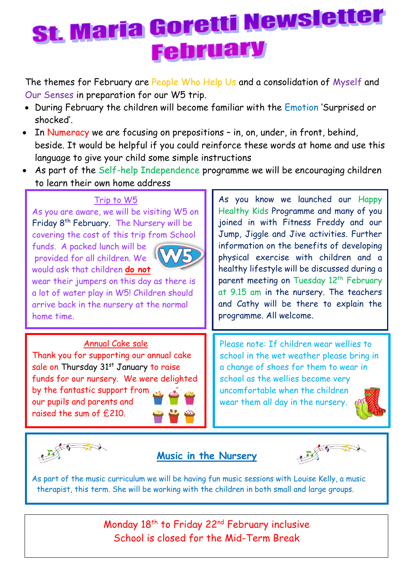# St. Maria Goretti Newsletter **February**

The themes for February are People Who Help Us and a consolidation of Myself and Our Senses in preparation for our W5 trip.

- During February the children will become familiar with the Emotion 'Surprised or shocked'.
- In Numeracy we are focusing on prepositions in, on, under, in front, behind, beside. It would be helpful if you could reinforce these words at home and use this language to give your child some simple instructions
- As part of the Self-help Independence programme we will be encouraging children to learn their own home address

#### Trip to W5

As you are aware, we will be visiting W5 on Friday 8 th February. The Nursery will be covering the cost of this trip from School

funds. A packed lunch will be provided for all children. We would ask that children **do not**



wear their jumpers on this day as there is a lot of water play in W5! Children should arrive back in the nursery at the normal home time.

#### Annual Cake sale

Thank you for supporting our annual cake sale on Thursday 31st January to raise funds for our nursery. We were delighted by the fantastic support from our pupils and parents and raised the sum of £210.

As you know we launched our Happy Healthy Kids Programme and many of you joined in with Fitness Freddy and our Jump, Jiggle and Jive activities. Further information on the benefits of developing physical exercise with children and a healthy lifestyle will be discussed during a parent meeting on Tuesday 12<sup>th</sup> February at 9.15 am in the nursery. The teachers and Cathy will be there to explain the programme. All welcome.

Please note: If children wear wellies to school in the wet weather please bring in a change of shoes for them to wear in school as the wellies become very uncomfortable when the children wear them all day in the nursery.





### **Music in the Nursery**



A[s part of t](https://creativecommons.org/licenses/by-nc/3.0/)he music curriculum we will be having fun music sessions with Louise Kelly, a music therapist, this term. She will be working with the children in both small a[nd large g](https://creativecommons.org/licenses/by-nc/3.0/)roups.

> Monday 18<sup>th</sup> to Friday 22<sup>nd</sup> February inclusive School is closed for the Mid-Term Break